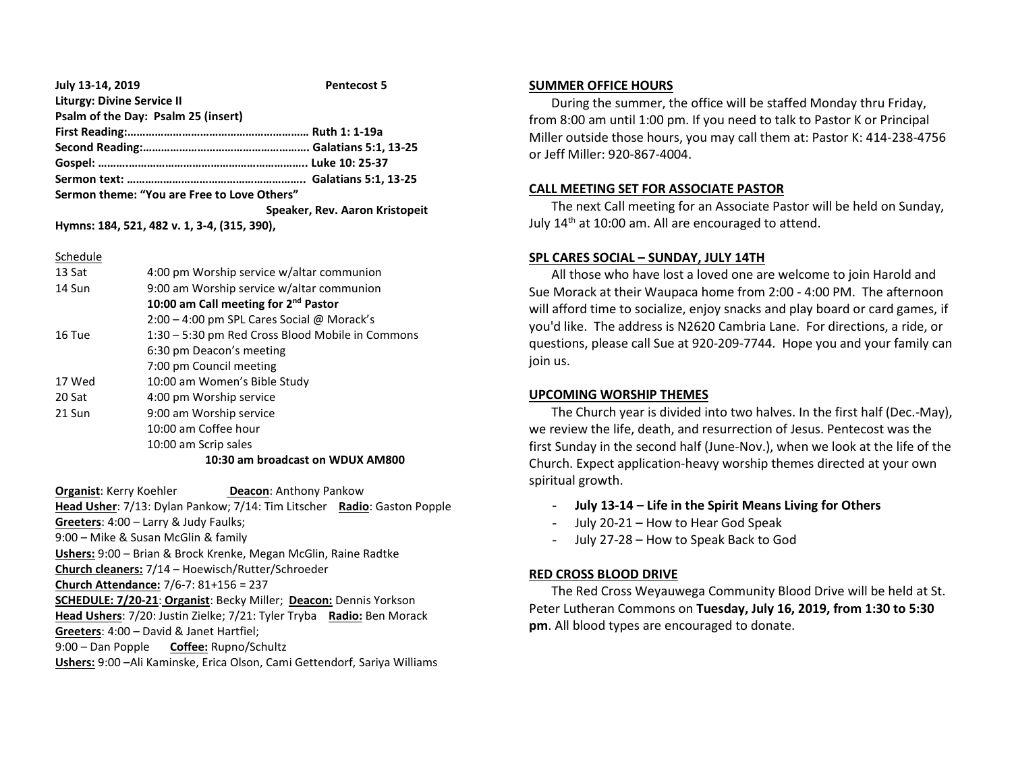| July 13-14, 2019                            | <b>Pentecost 5</b>             |
|---------------------------------------------|--------------------------------|
| <b>Liturgy: Divine Service II</b>           |                                |
| Psalm of the Day: Psalm 25 (insert)         |                                |
|                                             |                                |
|                                             |                                |
|                                             |                                |
|                                             |                                |
| Sermon theme: "You are Free to Love Others" |                                |
|                                             | Speaker, Rev. Aaron Kristopeit |
| Hymns: 184, 521, 482 v. 1, 3-4, (315, 390), |                                |

Schedule

| 13 Sat | 4:00 pm Worship service w/altar communion        |  |
|--------|--------------------------------------------------|--|
| 14 Sun | 9:00 am Worship service w/altar communion        |  |
|        | 10:00 am Call meeting for 2 <sup>nd</sup> Pastor |  |
|        | 2:00 – 4:00 pm SPL Cares Social @ Morack's       |  |
| 16 Tue | 1:30 – 5:30 pm Red Cross Blood Mobile in Commons |  |
|        | 6:30 pm Deacon's meeting                         |  |
|        | 7:00 pm Council meeting                          |  |
| 17 Wed | 10:00 am Women's Bible Study                     |  |
| 20 Sat | 4:00 pm Worship service                          |  |
| 21 Sun | 9:00 am Worship service                          |  |
|        | 10:00 am Coffee hour                             |  |
|        | 10:00 am Scrip sales                             |  |
|        | 10:30 am broadcast on WDUX AM800                 |  |

**Organist: Kerry Koehler <b>Deacon:** Anthony Pankow **Head Usher**: 7/13: Dylan Pankow; 7/14: Tim Litscher **Radio**: Gaston Popple **Greeters**: 4:00 – Larry & Judy Faulks; 9:00 – Mike & Susan McGlin & family **Ushers:** 9:00 – Brian & Brock Krenke, Megan McGlin, Raine Radtke **Church cleaners:** 7/14 – Hoewisch/Rutter/Schroeder **Church Attendance:** 7/6-7: 81+156 = 237 **SCHEDULE: 7/20-21**: **Organist**: Becky Miller; **Deacon:** Dennis Yorkson **Head Ushers**: 7/20: Justin Zielke; 7/21: Tyler Tryba **Radio:** Ben Morack **Greeters**: 4:00 – David & Janet Hartfiel; 9:00 – Dan Popple **Coffee:** Rupno/Schultz **Ushers:** 9:00 –Ali Kaminske, Erica Olson, Cami Gettendorf, Sariya Williams

#### **SUMMER OFFICE HOURS**

 During the summer, the office will be staffed Monday thru Friday, from 8:00 am until 1:00 pm. If you need to talk to Pastor K or Principal Miller outside those hours, you may call them at: Pastor K: 414-238-4756 or Jeff Miller: 920-867-4004.

### **CALL MEETING SET FOR ASSOCIATE PASTOR**

 The next Call meeting for an Associate Pastor will be held on Sunday, July 14<sup>th</sup> at 10:00 am. All are encouraged to attend.

## **SPL CARES SOCIAL – SUNDAY, JULY 14TH**

 All those who have lost a loved one are welcome to join Harold and Sue Morack at their Waupaca home from 2:00 - 4:00 PM. The afternoon will afford time to socialize, enjoy snacks and play board or card games, if you'd like. The address is N2620 Cambria Lane. For directions, a ride, or questions, please call Sue at 920-209-7744. Hope you and your family can join us.

# **UPCOMING WORSHIP THEMES**

 The Church year is divided into two halves. In the first half (Dec.-May), we review the life, death, and resurrection of Jesus. Pentecost was the first Sunday in the second half (June-Nov.), when we look at the life of the Church. Expect application-heavy worship themes directed at your own spiritual growth.

- **July 13-14 – Life in the Spirit Means Living for Others**
- July 20-21 How to Hear God Speak
- July 27-28 How to Speak Back to God

## **RED CROSS BLOOD DRIVE**

 The Red Cross Weyauwega Community Blood Drive will be held at St. Peter Lutheran Commons on **Tuesday, July 16, 2019, from 1:30 to 5:30 pm**. All blood types are encouraged to donate.